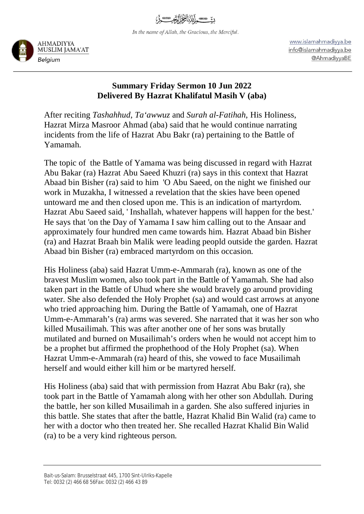In the name of Allah, the Gracious, the Merciful.



www.islamahmadiyya.be info@islamahmadiyya.be @AhmadiyyaBE

## **Summary Friday Sermon 10 Jun 2022 Delivered By Hazrat Khalifatul Masih V (aba)**

After reciting *Tashahhud*, *Ta'awwuz* and *Surah al-Fatihah*, His Holiness, Hazrat Mirza Masroor Ahmad (aba) said that he would continue narrating incidents from the life of Hazrat Abu Bakr (ra) pertaining to the Battle of Yamamah.

The topic of the Battle of Yamama was being discussed in regard with Hazrat Abu Bakar (ra) Hazrat Abu Saeed Khuzri (ra) says in this context that Hazrat Abaad bin Bisher (ra) said to him 'O Abu Saeed, on the night we finished our work in Muzakha, I witnessed a revelation that the skies have been opened untoward me and then closed upon me. This is an indication of martyrdom. Hazrat Abu Saeed said, ' Inshallah, whatever happens will happen for the best.' He says that 'on the Day of Yamama I saw him calling out to the Ansaar and approximately four hundred men came towards him. Hazrat Abaad bin Bisher (ra) and Hazrat Braah bin Malik were leading peopld outside the garden. Hazrat Abaad bin Bisher (ra) embraced martyrdom on this occasion.

His Holiness (aba) said Hazrat Umm-e-Ammarah (ra), known as one of the bravest Muslim women, also took part in the Battle of Yamamah. She had also taken part in the Battle of Uhud where she would bravely go around providing water. She also defended the Holy Prophet (sa) and would cast arrows at anyone who tried approaching him. During the Battle of Yamamah, one of Hazrat Umm-e-Ammarah's (ra) arms was severed. She narrated that it was her son who killed Musailimah. This was after another one of her sons was brutally mutilated and burned on Musailimah's orders when he would not accept him to be a prophet but affirmed the prophethood of the Holy Prophet (sa). When Hazrat Umm-e-Ammarah (ra) heard of this, she vowed to face Musailimah herself and would either kill him or be martyred herself.

His Holiness (aba) said that with permission from Hazrat Abu Bakr (ra), she took part in the Battle of Yamamah along with her other son Abdullah. During the battle, her son killed Musailimah in a garden. She also suffered injuries in this battle. She states that after the battle, Hazrat Khalid Bin Walid (ra) came to her with a doctor who then treated her. She recalled Hazrat Khalid Bin Walid (ra) to be a very kind righteous person.